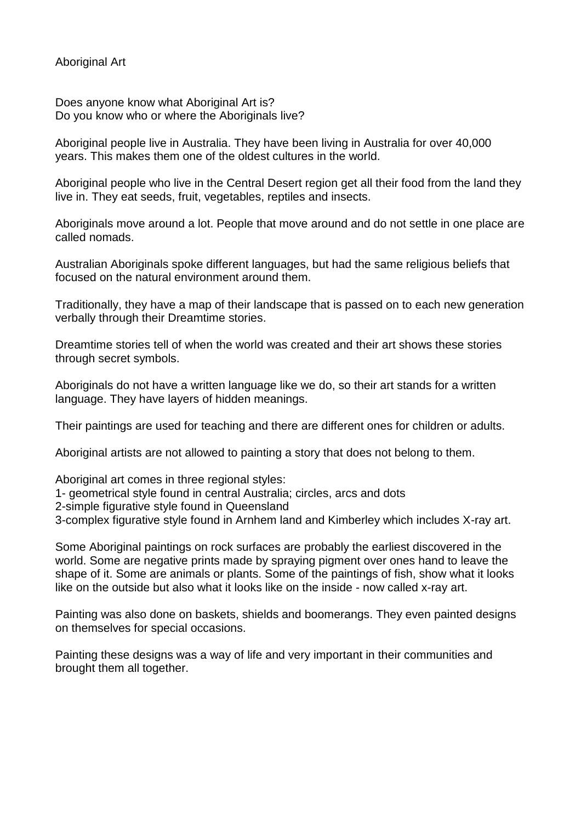## Aboriginal Art

Does anyone know what Aboriginal Art is? Do you know who or where the Aboriginals live?

Aboriginal people live in Australia. They have been living in Australia for over 40,000 years. This makes them one of the oldest cultures in the world.

Aboriginal people who live in the Central Desert region get all their food from the land they live in. They eat seeds, fruit, vegetables, reptiles and insects.

Aboriginals move around a lot. People that move around and do not settle in one place are called nomads.

Australian Aboriginals spoke different languages, but had the same religious beliefs that focused on the natural environment around them.

Traditionally, they have a map of their landscape that is passed on to each new generation verbally through their Dreamtime stories.

Dreamtime stories tell of when the world was created and their art shows these stories through secret symbols.

Aboriginals do not have a written language like we do, so their art stands for a written language. They have layers of hidden meanings.

Their paintings are used for teaching and there are different ones for children or adults.

Aboriginal artists are not allowed to painting a story that does not belong to them.

Aboriginal art comes in three regional styles:

- 1- geometrical style found in central Australia; circles, arcs and dots
- 2-simple figurative style found in Queensland
- 3-complex figurative style found in Arnhem land and Kimberley which includes X-ray art.

Some Aboriginal paintings on rock surfaces are probably the earliest discovered in the world. Some are negative prints made by spraying pigment over ones hand to leave the shape of it. Some are animals or plants. Some of the paintings of fish, show what it looks like on the outside but also what it looks like on the inside - now called x-ray art.

Painting was also done on baskets, shields and boomerangs. They even painted designs on themselves for special occasions.

Painting these designs was a way of life and very important in their communities and brought them all together.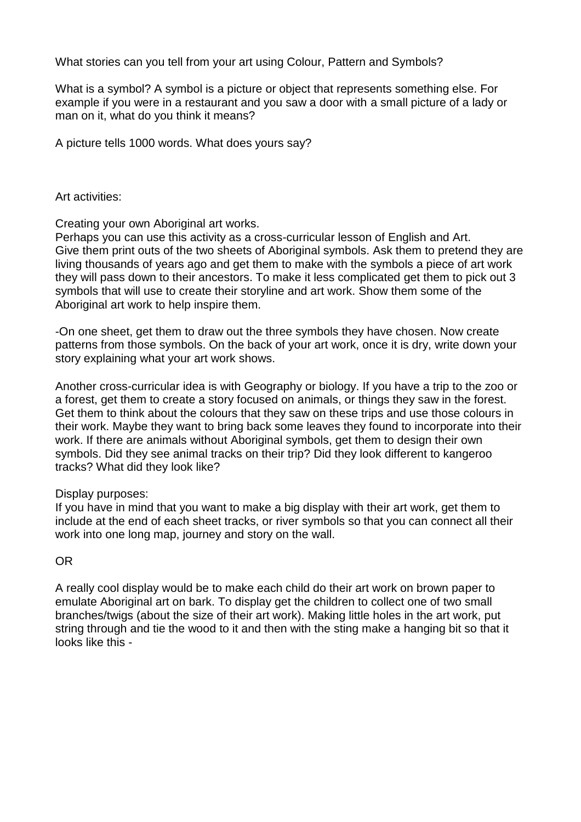What stories can you tell from your art using Colour, Pattern and Symbols?

What is a symbol? A symbol is a picture or object that represents something else. For example if you were in a restaurant and you saw a door with a small picture of a lady or man on it, what do you think it means?

A picture tells 1000 words. What does yours say?

Art activities:

Creating your own Aboriginal art works.

Perhaps you can use this activity as a cross-curricular lesson of English and Art. Give them print outs of the two sheets of Aboriginal symbols. Ask them to pretend they are living thousands of years ago and get them to make with the symbols a piece of art work they will pass down to their ancestors. To make it less complicated get them to pick out 3 symbols that will use to create their storyline and art work. Show them some of the Aboriginal art work to help inspire them.

-On one sheet, get them to draw out the three symbols they have chosen. Now create patterns from those symbols. On the back of your art work, once it is dry, write down your story explaining what your art work shows.

Another cross-curricular idea is with Geography or biology. If you have a trip to the zoo or a forest, get them to create a story focused on animals, or things they saw in the forest. Get them to think about the colours that they saw on these trips and use those colours in their work. Maybe they want to bring back some leaves they found to incorporate into their work. If there are animals without Aboriginal symbols, get them to design their own symbols. Did they see animal tracks on their trip? Did they look different to kangeroo tracks? What did they look like?

## Display purposes:

If you have in mind that you want to make a big display with their art work, get them to include at the end of each sheet tracks, or river symbols so that you can connect all their work into one long map, journey and story on the wall.

## OR

A really cool display would be to make each child do their art work on brown paper to emulate Aboriginal art on bark. To display get the children to collect one of two small branches/twigs (about the size of their art work). Making little holes in the art work, put string through and tie the wood to it and then with the sting make a hanging bit so that it looks like this -